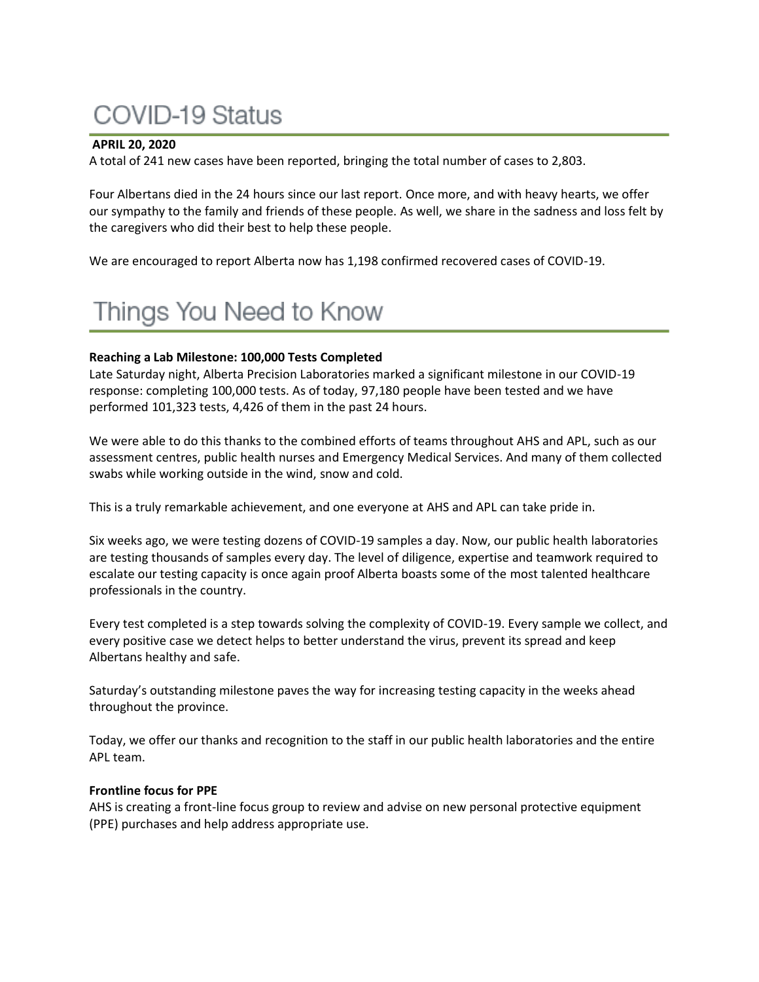# **COVID-19 Status**

#### **APRIL 20, 2020**

A total of 241 new cases have been reported, bringing the total number of cases to 2,803.

Four Albertans died in the 24 hours since our last report. Once more, and with heavy hearts, we offer our sympathy to the family and friends of these people. As well, we share in the sadness and loss felt by the caregivers who did their best to help these people.

We are encouraged to report Alberta now has 1,198 confirmed recovered cases of COVID-19.

# Things You Need to Know

#### **Reaching a Lab Milestone: 100,000 Tests Completed**

Late Saturday night, Alberta Precision Laboratories marked a significant milestone in our COVID-19 response: completing 100,000 tests. As of today, 97,180 people have been tested and we have performed 101,323 tests, 4,426 of them in the past 24 hours.

We were able to do this thanks to the combined efforts of teams throughout AHS and APL, such as our assessment centres, public health nurses and Emergency Medical Services. And many of them collected swabs while working outside in the wind, snow and cold.

This is a truly remarkable achievement, and one everyone at AHS and APL can take pride in.

Six weeks ago, we were testing dozens of COVID-19 samples a day. Now, our public health laboratories are testing thousands of samples every day. The level of diligence, expertise and teamwork required to escalate our testing capacity is once again proof Alberta boasts some of the most talented healthcare professionals in the country.

Every test completed is a step towards solving the complexity of COVID-19. Every sample we collect, and every positive case we detect helps to better understand the virus, prevent its spread and keep Albertans healthy and safe.

Saturday's outstanding milestone paves the way for increasing testing capacity in the weeks ahead throughout the province.

Today, we offer our thanks and recognition to the staff in our public health laboratories and the entire APL team.

#### **Frontline focus for PPE**

AHS is creating a front-line focus group to review and advise on new personal protective equipment (PPE) purchases and help address appropriate use.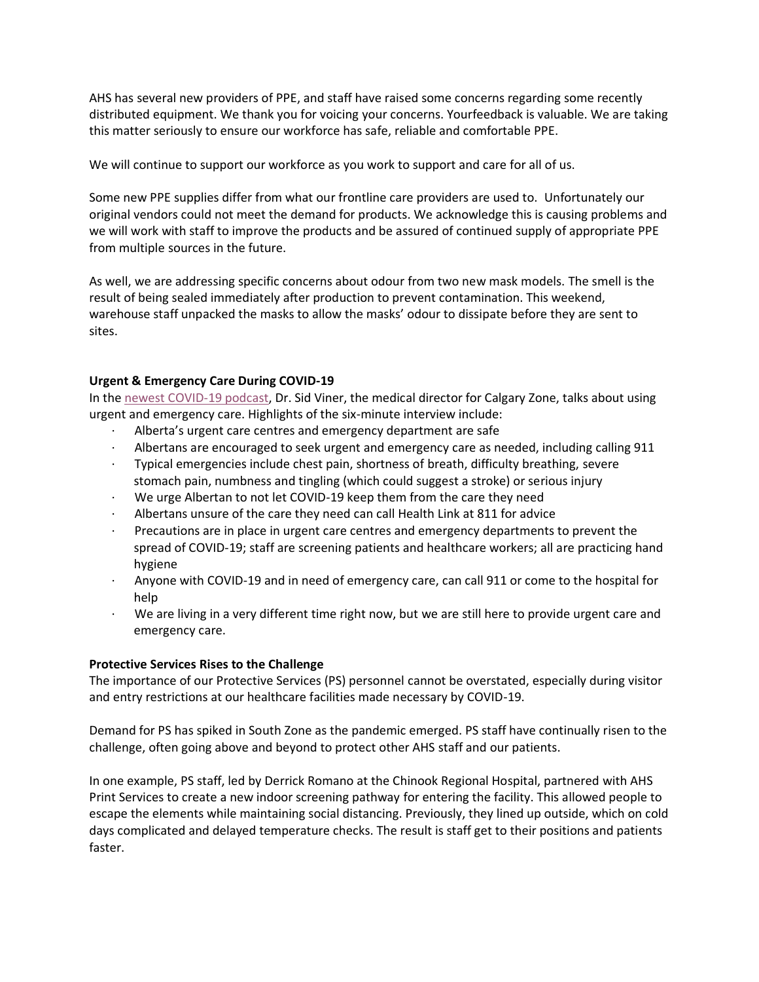AHS has several new providers of PPE, and staff have raised some concerns regarding some recently distributed equipment. We thank you for voicing your concerns. Yourfeedback is valuable. We are taking this matter seriously to ensure our workforce has safe, reliable and comfortable PPE.

We will continue to support our workforce as you work to support and care for all of us.

Some new PPE supplies differ from what our frontline care providers are used to. Unfortunately our original vendors could not meet the demand for products. We acknowledge this is causing problems and we will work with staff to improve the products and be assured of continued supply of appropriate PPE from multiple sources in the future.

As well, we are addressing specific concerns about odour from two new mask models. The smell is the result of being sealed immediately after production to prevent contamination. This weekend, warehouse staff unpacked the masks to allow the masks' odour to dissipate before they are sent to sites.

# **Urgent & Emergency Care During COVID-19**

In the [newest COVID-19 podcast,](https://www.albertahealthservices.ca/news/Page15434.aspx) Dr. Sid Viner, the medical director for Calgary Zone, talks about using urgent and emergency care. Highlights of the six-minute interview include:

- Alberta's urgent care centres and emergency department are safe
- · Albertans are encouraged to seek urgent and emergency care as needed, including calling 911
- · Typical emergencies include chest pain, shortness of breath, difficulty breathing, severe stomach pain, numbness and tingling (which could suggest a stroke) or serious injury
- · We urge Albertan to not let COVID-19 keep them from the care they need
- Albertans unsure of the care they need can call Health Link at 811 for advice
- Precautions are in place in urgent care centres and emergency departments to prevent the spread of COVID-19; staff are screening patients and healthcare workers; all are practicing hand hygiene
- · Anyone with COVID-19 and in need of emergency care, can call 911 or come to the hospital for help
- We are living in a very different time right now, but we are still here to provide urgent care and emergency care.

# **Protective Services Rises to the Challenge**

The importance of our Protective Services (PS) personnel cannot be overstated, especially during visitor and entry restrictions at our healthcare facilities made necessary by COVID-19.

Demand for PS has spiked in South Zone as the pandemic emerged. PS staff have continually risen to the challenge, often going above and beyond to protect other AHS staff and our patients.

In one example, PS staff, led by Derrick Romano at the Chinook Regional Hospital, partnered with AHS Print Services to create a new indoor screening pathway for entering the facility. This allowed people to escape the elements while maintaining social distancing. Previously, they lined up outside, which on cold days complicated and delayed temperature checks. The result is staff get to their positions and patients faster.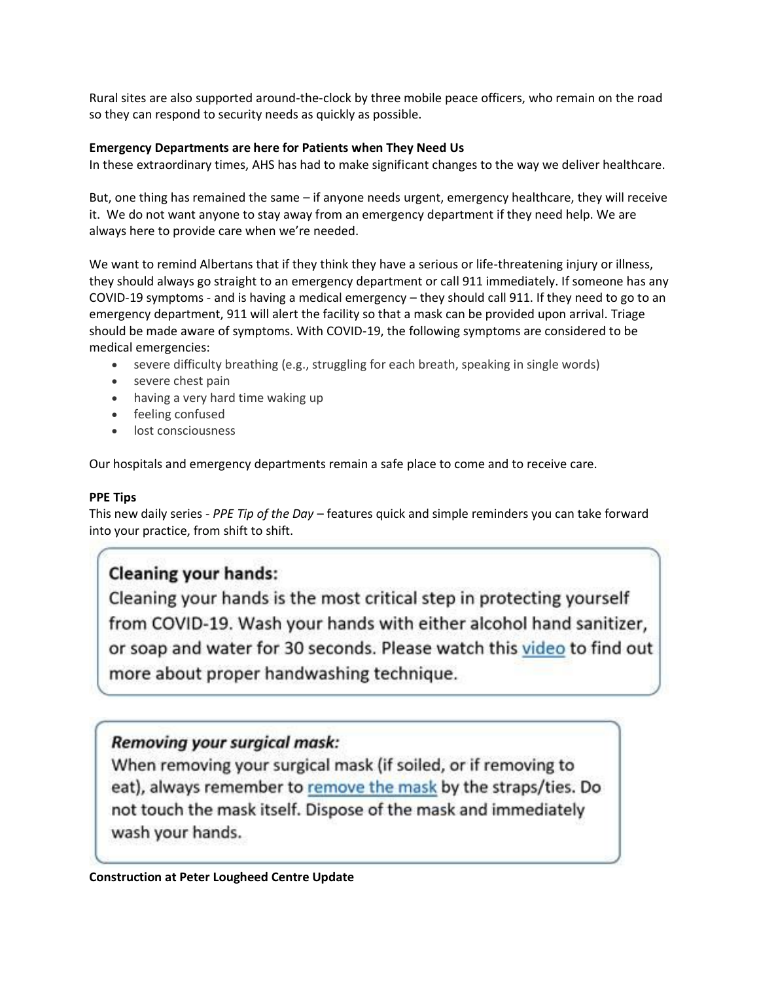Rural sites are also supported around-the-clock by three mobile peace officers, who remain on the road so they can respond to security needs as quickly as possible.

# **Emergency Departments are here for Patients when They Need Us**

In these extraordinary times, AHS has had to make significant changes to the way we deliver healthcare.

But, one thing has remained the same – if anyone needs urgent, emergency healthcare, they will receive it. We do not want anyone to stay away from an emergency department if they need help. We are always here to provide care when we're needed.

We want to remind Albertans that if they think they have a serious or life-threatening injury or illness, they should always go straight to an emergency department or call 911 immediately. If someone has any COVID-19 symptoms - and is having a medical emergency – they should call 911. If they need to go to an emergency department, 911 will alert the facility so that a mask can be provided upon arrival. Triage should be made aware of symptoms. With COVID-19, the following symptoms are considered to be medical emergencies:

- severe difficulty breathing (e.g., struggling for each breath, speaking in single words)
- severe chest pain
- having a very hard time waking up
- feeling confused
- lost consciousness

Our hospitals and emergency departments remain a safe place to come and to receive care.

# **PPE Tips**

This new daily series - *PPE Tip of the Day* – features quick and simple reminders you can take forward into your practice, from shift to shift.

# **Cleaning your hands:**

Cleaning your hands is the most critical step in protecting yourself from COVID-19. Wash your hands with either alcohol hand sanitizer, or soap and water for 30 seconds. Please watch this video to find out more about proper handwashing technique.

# **Removing your surgical mask:**

When removing your surgical mask (if soiled, or if removing to eat), always remember to remove the mask by the straps/ties. Do not touch the mask itself. Dispose of the mask and immediately wash your hands.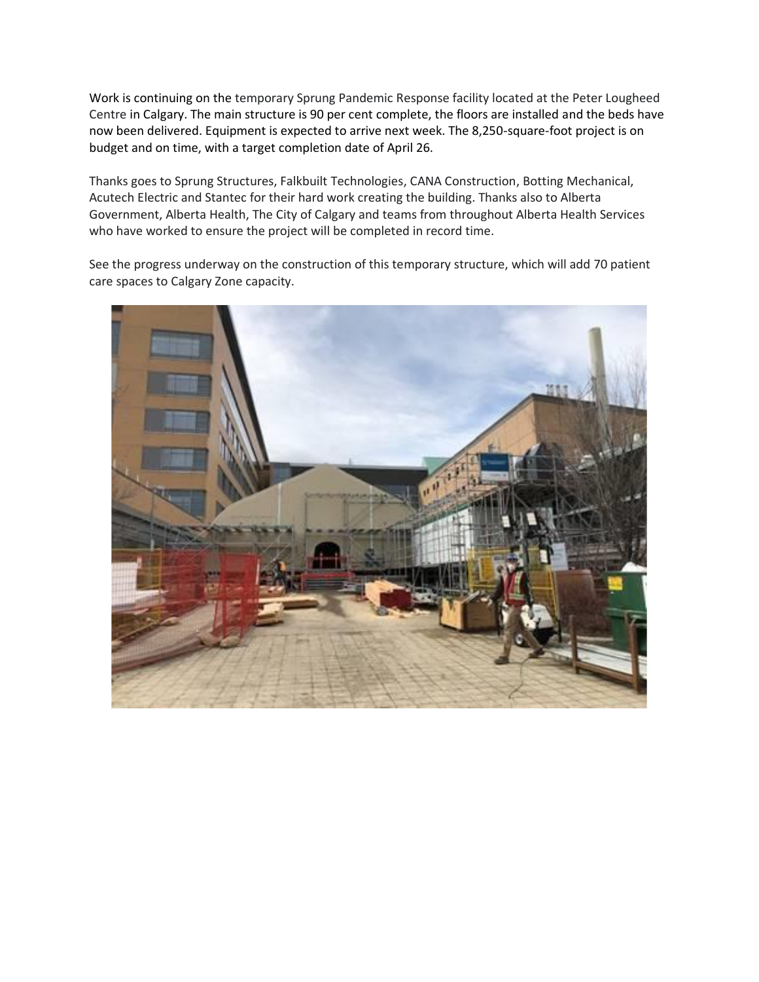Work is continuing on the temporary Sprung Pandemic Response facility located at the Peter Lougheed Centre in Calgary. The main structure is 90 per cent complete, the floors are installed and the beds have now been delivered. Equipment is expected to arrive next week. The 8,250-square-foot project is on budget and on time, with a target completion date of April 26.

Thanks goes to Sprung Structures, Falkbuilt Technologies, CANA Construction, Botting Mechanical, Acutech Electric and Stantec for their hard work creating the building. Thanks also to Alberta Government, Alberta Health, The City of Calgary and teams from throughout Alberta Health Services who have worked to ensure the project will be completed in record time.

See the progress underway on the construction of this temporary structure, which will add 70 patient care spaces to Calgary Zone capacity.

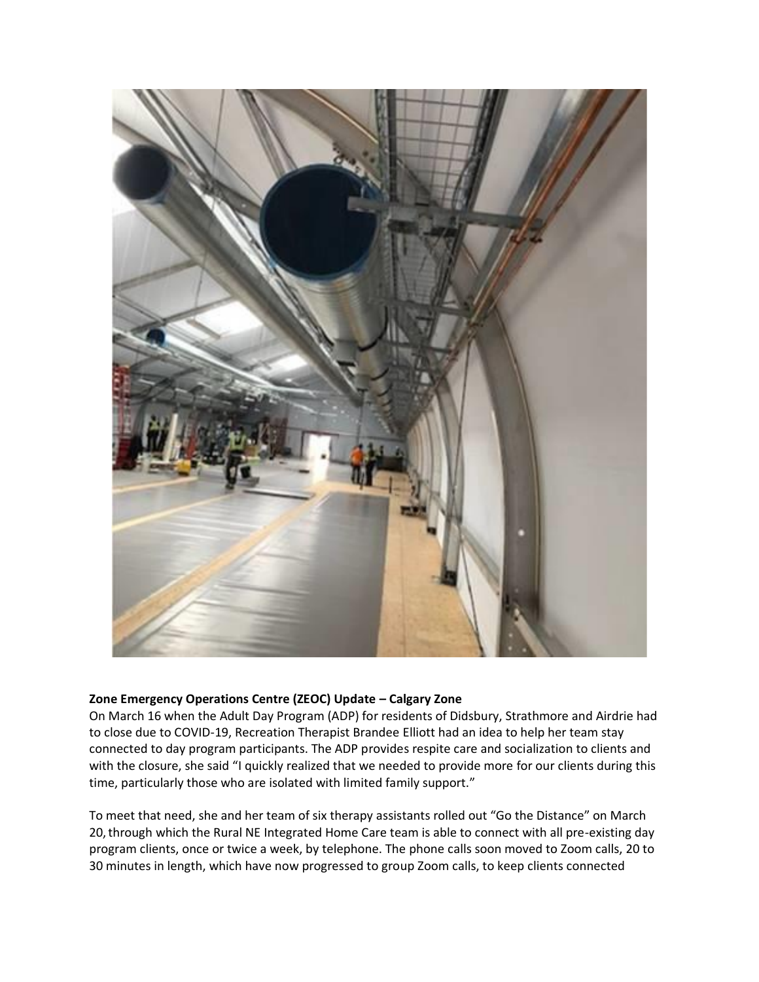

# **Zone Emergency Operations Centre (ZEOC) Update – Calgary Zone**

On March 16 when the Adult Day Program (ADP) for residents of Didsbury, Strathmore and Airdrie had to close due to COVID-19, Recreation Therapist Brandee Elliott had an idea to help her team stay connected to day program participants. The ADP provides respite care and socialization to clients and with the closure, she said "I quickly realized that we needed to provide more for our clients during this time, particularly those who are isolated with limited family support."

To meet that need, she and her team of six therapy assistants rolled out "Go the Distance" on March 20,through which the Rural NE Integrated Home Care team is able to connect with all pre-existing day program clients, once or twice a week, by telephone. The phone calls soon moved to Zoom calls, 20 to 30 minutes in length, which have now progressed to group Zoom calls, to keep clients connected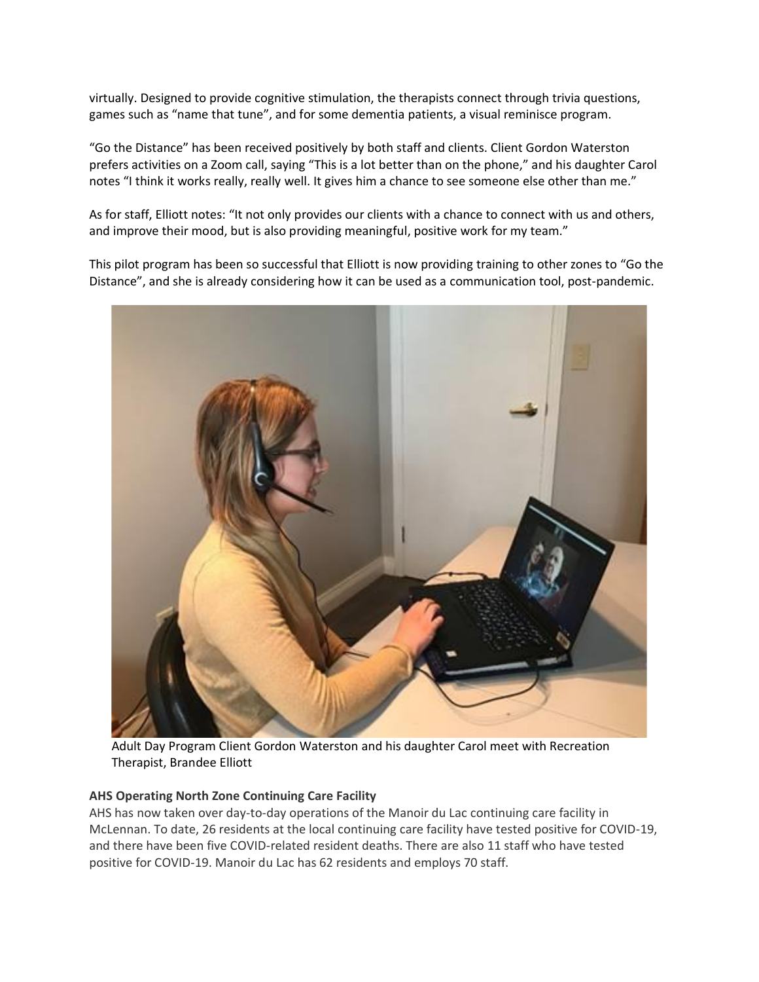virtually. Designed to provide cognitive stimulation, the therapists connect through trivia questions, games such as "name that tune", and for some dementia patients, a visual reminisce program.

"Go the Distance" has been received positively by both staff and clients. Client Gordon Waterston prefers activities on a Zoom call, saying "This is a lot better than on the phone," and his daughter Carol notes "I think it works really, really well. It gives him a chance to see someone else other than me."

As for staff, Elliott notes: "It not only provides our clients with a chance to connect with us and others, and improve their mood, but is also providing meaningful, positive work for my team."

This pilot program has been so successful that Elliott is now providing training to other zones to "Go the Distance", and she is already considering how it can be used as a communication tool, post-pandemic.



Adult Day Program Client Gordon Waterston and his daughter Carol meet with Recreation Therapist, Brandee Elliott

# **AHS Operating North Zone Continuing Care Facility**

AHS has now taken over day-to-day operations of the Manoir du Lac continuing care facility in McLennan. To date, 26 residents at the local continuing care facility have tested positive for COVID-19, and there have been five COVID-related resident deaths. There are also 11 staff who have tested positive for COVID-19. Manoir du Lac has 62 residents and employs 70 staff.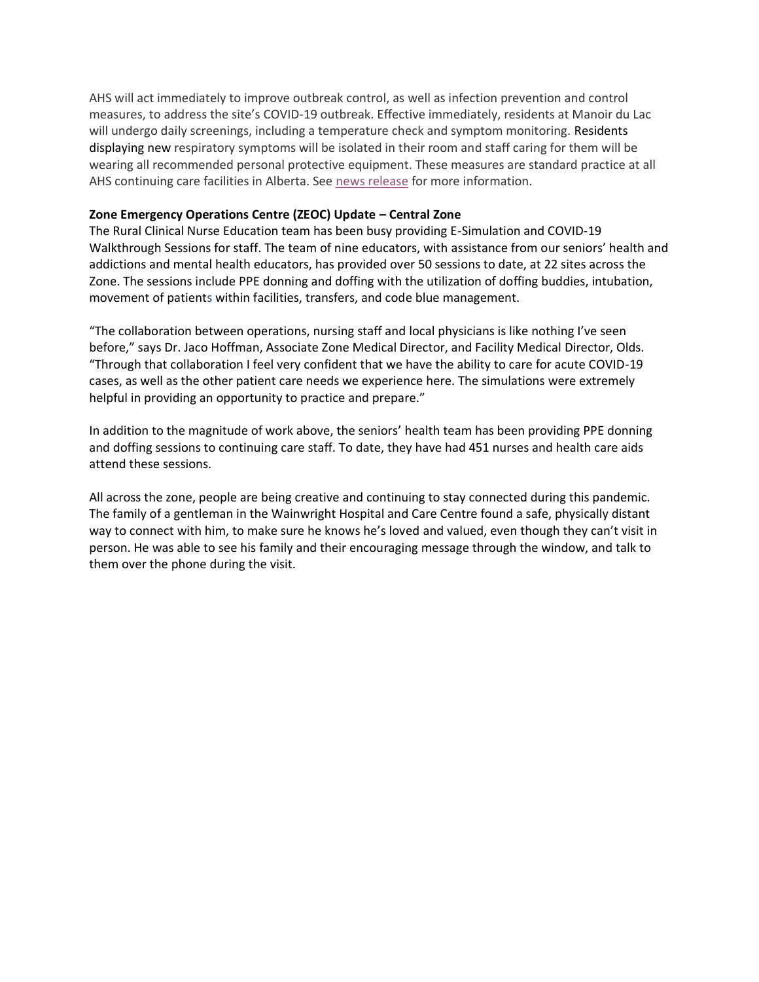AHS will act immediately to improve outbreak control, as well as infection prevention and control measures, to address the site's COVID-19 outbreak. Effective immediately, residents at Manoir du Lac will undergo daily screenings, including a temperature check and symptom monitoring. Residents displaying new respiratory symptoms will be isolated in their room and staff caring for them will be wearing all recommended personal protective equipment. These measures are standard practice at all AHS continuing care facilities in Alberta. See [news release](https://www.albertahealthservices.ca/news/Page15465.aspx) for more information.

# **Zone Emergency Operations Centre (ZEOC) Update – Central Zone**

The Rural Clinical Nurse Education team has been busy providing E-Simulation and COVID-19 Walkthrough Sessions for staff. The team of nine educators, with assistance from our seniors' health and addictions and mental health educators, has provided over 50 sessions to date, at 22 sites across the Zone. The sessions include PPE donning and doffing with the utilization of doffing buddies, intubation, movement of patients within facilities, transfers, and code blue management.

"The collaboration between operations, nursing staff and local physicians is like nothing I've seen before," says Dr. Jaco Hoffman, Associate Zone Medical Director, and Facility Medical Director, Olds. "Through that collaboration I feel very confident that we have the ability to care for acute COVID-19 cases, as well as the other patient care needs we experience here. The simulations were extremely helpful in providing an opportunity to practice and prepare."

In addition to the magnitude of work above, the seniors' health team has been providing PPE donning and doffing sessions to continuing care staff. To date, they have had 451 nurses and health care aids attend these sessions.

All across the zone, people are being creative and continuing to stay connected during this pandemic. The family of a gentleman in the Wainwright Hospital and Care Centre found a safe, physically distant way to connect with him, to make sure he knows he's loved and valued, even though they can't visit in person. He was able to see his family and their encouraging message through the window, and talk to them over the phone during the visit.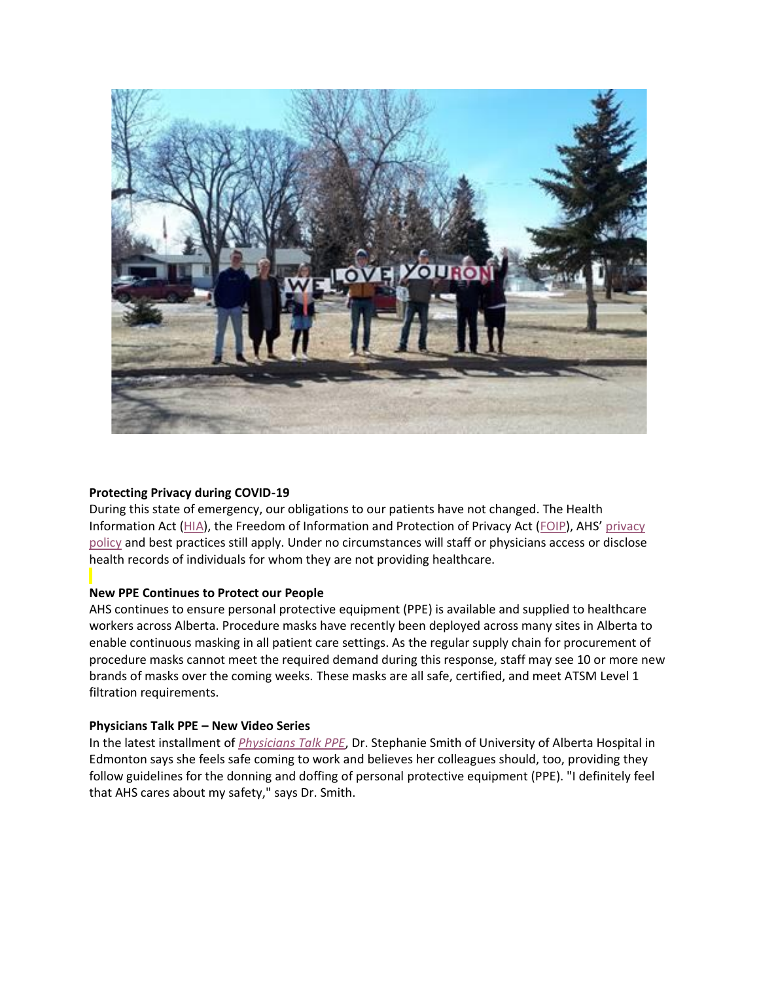

# **Protecting Privacy during COVID-19**

During this state of emergency, our obligations to our patients have not changed. The Health Information Act [\(HIA\)](https://insite.albertahealthservices.ca/main/assets/tls/infocare/tls-infocare-guide-to-albertas-hia.pdf), the Freedom of Information and Protection of Privacy Act [\(FOIP](https://insite.albertahealthservices.ca/main/assets/tls/infocare/tls-infocare-guide-to-albertas-foip.pdf)), AHS' [privacy](https://extranet.ahsnet.ca/teams/policydocuments/1/clp-ahs-privacy-protect-ia.pdf)  [policy](https://extranet.ahsnet.ca/teams/policydocuments/1/clp-ahs-privacy-protect-ia.pdf) and best practices still apply. Under no circumstances will staff or physicians access or disclose health records of individuals for whom they are not providing healthcare.

# **New PPE Continues to Protect our People**

AHS continues to ensure personal protective equipment (PPE) is available and supplied to healthcare workers across Alberta. Procedure masks have recently been deployed across many sites in Alberta to enable continuous masking in all patient care settings. As the regular supply chain for procurement of procedure masks cannot meet the required demand during this response, staff may see 10 or more new brands of masks over the coming weeks. These masks are all safe, certified, and meet ATSM Level 1 filtration requirements.

#### **Physicians Talk PPE – New Video Series**

In the latest installment of *[Physicians Talk PPE](https://www.albertahealthservices.ca/topics/Page17079.aspx)*, Dr. Stephanie Smith of University of Alberta Hospital in Edmonton says she feels safe coming to work and believes her colleagues should, too, providing they follow guidelines for the donning and doffing of personal protective equipment (PPE). "I definitely feel that AHS cares about my safety," says Dr. Smith.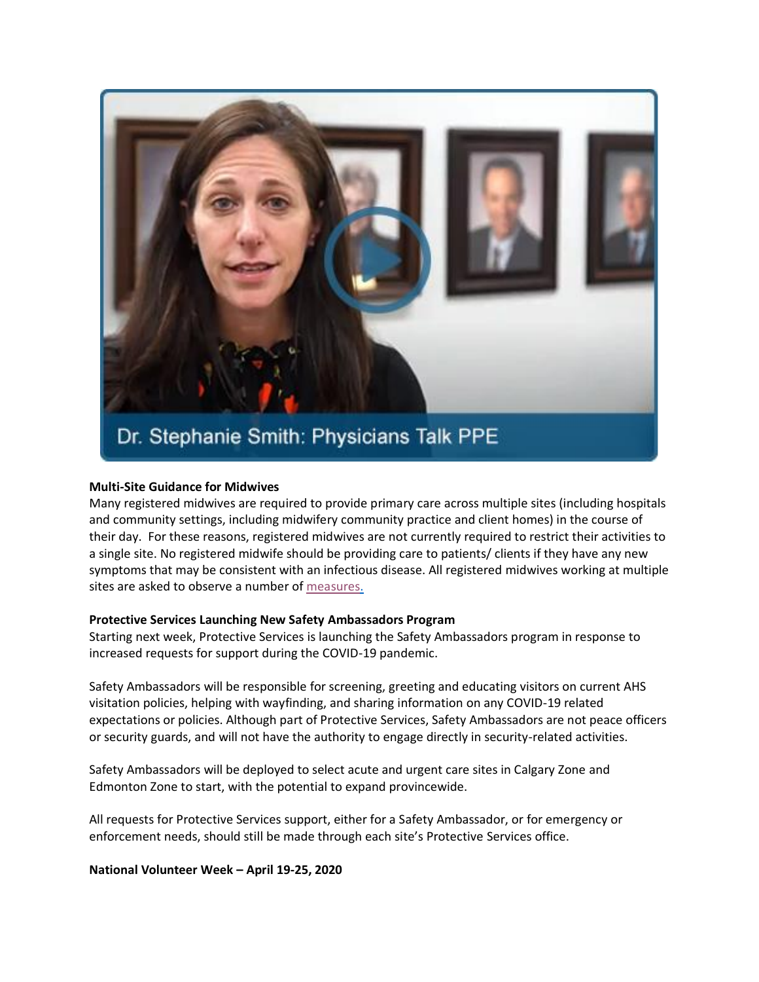

#### **Multi-Site Guidance for Midwives**

Many registered midwives are required to provide primary care across multiple sites (including hospitals and community settings, including midwifery community practice and client homes) in the course of their day. For these reasons, registered midwives are not currently required to restrict their activities to a single site. No registered midwife should be providing care to patients/ clients if they have any new symptoms that may be consistent with an infectious disease. All registered midwives working at multiple sites are asked to observe a number of [measures.](https://www.albertahealthservices.ca/assets/info/ppih/if-ppih-covid-19-midwife-multi-site-guidance.pdf)

#### **Protective Services Launching New Safety Ambassadors Program**

Starting next week, Protective Services is launching the Safety Ambassadors program in response to increased requests for support during the COVID-19 pandemic.

Safety Ambassadors will be responsible for screening, greeting and educating visitors on current AHS visitation policies, helping with wayfinding, and sharing information on any COVID-19 related expectations or policies. Although part of Protective Services, Safety Ambassadors are not peace officers or security guards, and will not have the authority to engage directly in security-related activities.

Safety Ambassadors will be deployed to select acute and urgent care sites in Calgary Zone and Edmonton Zone to start, with the potential to expand provincewide.

All requests for Protective Services support, either for a Safety Ambassador, or for emergency or enforcement needs, should still be made through each site's Protective Services office.

#### **National Volunteer Week – April 19-25, 2020**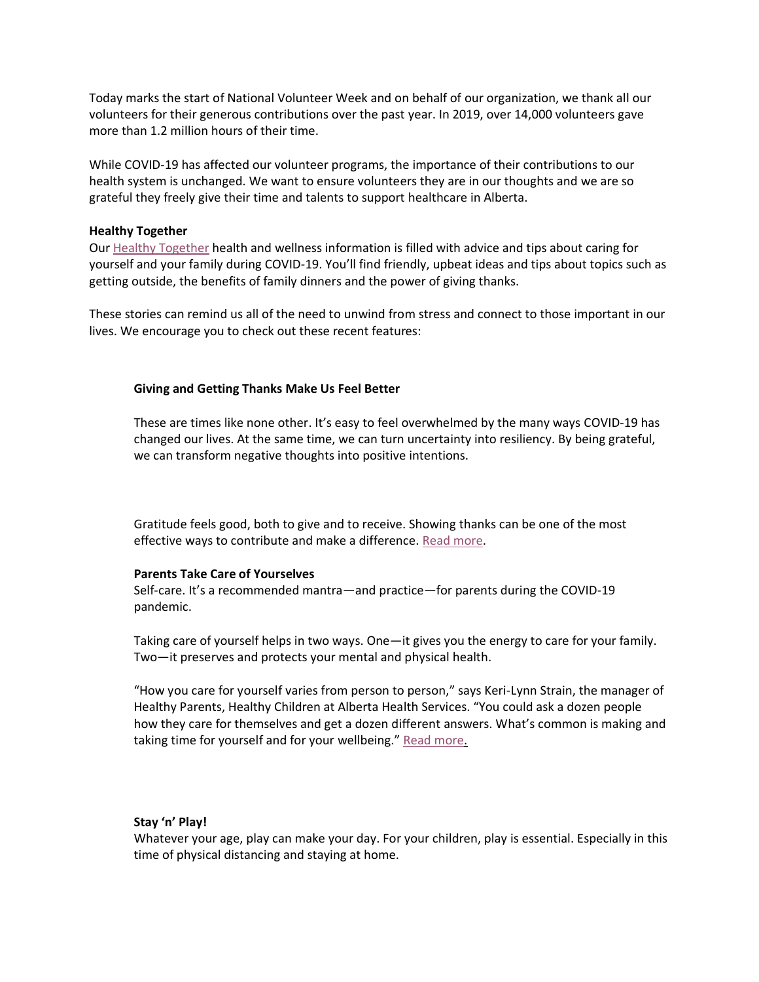Today marks the start of National Volunteer Week and on behalf of our organization, we thank all our volunteers for their generous contributions over the past year. In 2019, over 14,000 volunteers gave more than 1.2 million hours of their time.

While COVID-19 has affected our volunteer programs, the importance of their contributions to our health system is unchanged. We want to ensure volunteers they are in our thoughts and we are so grateful they freely give their time and talents to support healthcare in Alberta.

#### **Healthy Together**

Our [Healthy Together](https://www.albertahealthservices.ca/news/Page15439.aspx) health and wellness information is filled with advice and tips about caring for yourself and your family during COVID-19. You'll find friendly, upbeat ideas and tips about topics such as getting outside, the benefits of family dinners and the power of giving thanks.

These stories can remind us all of the need to unwind from stress and connect to those important in our lives. We encourage you to check out these recent features:

#### **Giving and Getting Thanks Make Us Feel Better**

These are times like none other. It's easy to feel overwhelmed by the many ways COVID-19 has changed our lives. At the same time, we can turn uncertainty into resiliency. By being grateful, we can transform negative thoughts into positive intentions.

Gratitude feels good, both to give and to receive. Showing thanks can be one of the most effective ways to contribute and make a difference. [Read more.](https://www.albertahealthservices.ca/news/features/2020/Page15459.aspx)

#### **Parents Take Care of Yourselves**

Self-care. It's a recommended mantra—and practice—for parents during the COVID-19 pandemic.

Taking care of yourself helps in two ways. One—it gives you the energy to care for your family. Two—it preserves and protects your mental and physical health.

"How you care for yourself varies from person to person," says Keri-Lynn Strain, the manager of Healthy Parents, Healthy Children at Alberta Health Services. "You could ask a dozen people how they care for themselves and get a dozen different answers. What's common is making and taking time for yourself and for your wellbeing." [Read more.](https://www.albertahealthservices.ca/news/Page15454.aspx)

# **Stay 'n' Play!**

Whatever your age, play can make your day. For your children, play is essential. Especially in this time of physical distancing and staying at home.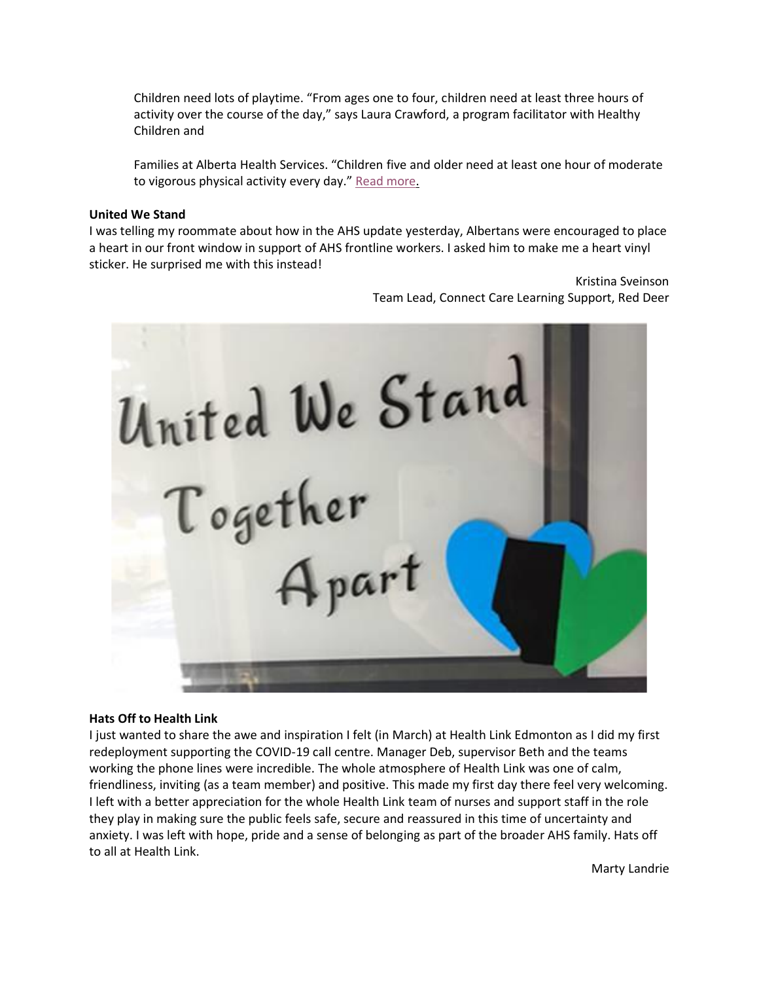Children need lots of playtime. "From ages one to four, children need at least three hours of activity over the course of the day," says Laura Crawford, a program facilitator with Healthy Children and

Families at Alberta Health Services. "Children five and older need at least one hour of moderate to vigorous physical activity every day." [Read more.](https://www.albertahealthservices.ca/news/Page15455.aspx)

#### **United We Stand**

I was telling my roommate about how in the AHS update yesterday, Albertans were encouraged to place a heart in our front window in support of AHS frontline workers. I asked him to make me a heart vinyl sticker. He surprised me with this instead!

> Kristina Sveinson Team Lead, Connect Care Learning Support, Red Deer

United We Stand Together  $_{\mu}$ part

#### **Hats Off to Health Link**

I just wanted to share the awe and inspiration I felt (in March) at Health Link Edmonton as I did my first redeployment supporting the COVID-19 call centre. Manager Deb, supervisor Beth and the teams working the phone lines were incredible. The whole atmosphere of Health Link was one of calm, friendliness, inviting (as a team member) and positive. This made my first day there feel very welcoming. I left with a better appreciation for the whole Health Link team of nurses and support staff in the role they play in making sure the public feels safe, secure and reassured in this time of uncertainty and anxiety. I was left with hope, pride and a sense of belonging as part of the broader AHS family. Hats off to all at Health Link.

Marty Landrie